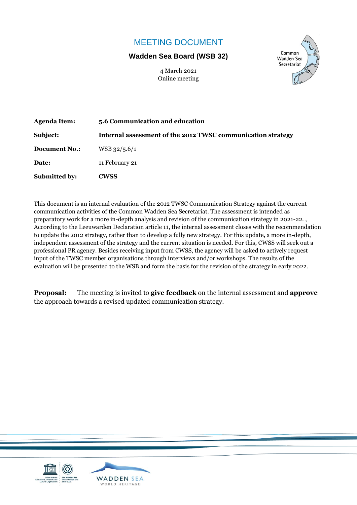# MEETING DOCUMENT

## **Wadden Sea Board (WSB 32)**

4 March 2021 Online meeting



| <b>Agenda Item:</b>  | 5.6 Communication and education                             |
|----------------------|-------------------------------------------------------------|
| Subject:             | Internal assessment of the 2012 TWSC communication strategy |
| <b>Document No.:</b> | $WSB$ 32/5.6/1                                              |
| Date:                | 11 February 21                                              |
| <b>Submitted by:</b> | <b>CWSS</b>                                                 |

This document is an internal evaluation of the 2012 TWSC Communication Strategy against the current communication activities of the Common Wadden Sea Secretariat. The assessment is intended as preparatory work for a more in-depth analysis and revision of the communication strategy in 2021-22. , According to the Leeuwarden Declaration article 11, the internal assessment closes with the recommendation to update the 2012 strategy, rather than to develop a fully new strategy. For this update, a more in-depth, independent assessment of the strategy and the current situation is needed. For this, CWSS will seek out a professional PR agency. Besides receiving input from CWSS, the agency will be asked to actively request input of the TWSC member organisations through interviews and/or workshops. The results of the evaluation will be presented to the WSB and form the basis for the revision of the strategy in early 2022.

**Proposal:** The meeting is invited to **give feedback** on the internal assessment and **approve** the approach towards a revised updated communication strategy.

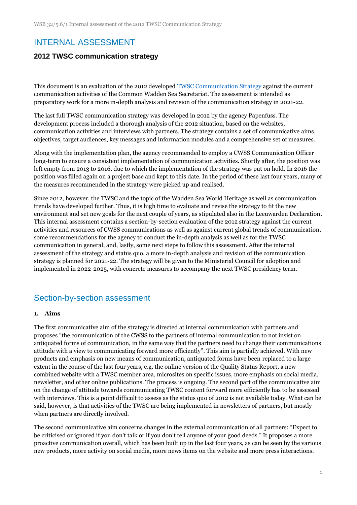# INTERNAL ASSESSMENT

## **2012 TWSC communication strategy**

This document is an evaluation of the 2012 developed [TWSC Communication Strategy](https://www.waddensea-worldheritage.org/resources/communication-strategy-trilateral-wadden-sea-cooperation) against the current communication activities of the Common Wadden Sea Secretariat. The assessment is intended as preparatory work for a more in-depth analysis and revision of the communication strategy in 2021-22.

The last full TWSC communication strategy was developed in 2012 by the agency Papenfuss. The development process included a thorough analysis of the 2012 situation, based on the websites, communication activities and interviews with partners. The strategy contains a set of communicative aims, objectives, target audiences, key messages and information modules and a comprehensive set of measures.

Along with the implementation plan, the agency recommended to employ a CWSS Communication Officer long-term to ensure a consistent implementation of communication activities. Shortly after, the position was left empty from 2013 to 2016, due to which the implementation of the strategy was put on hold. In 2016 the position was filled again on a project base and kept to this date. In the period of these last four years, many of the measures recommended in the strategy were picked up and realised.

Since 2012, however, the TWSC and the topic of the Wadden Sea World Heritage as well as communication trends have developed further. Thus, it is high time to evaluate and revise the strategy to fit the new environment and set new goals for the next couple of years, as stipulated also in the Leeuwarden Declaration. This internal assessment contains a section-by-section evaluation of the 2012 strategy against the current activities and resources of CWSS communications as well as against current global trends of communication, some recommendations for the agency to conduct the in-depth analysis as well as for the TWSC communication in general, and, lastly, some next steps to follow this assessment. After the internal assessment of the strategy and status quo, a more in-depth analysis and revision of the communication strategy is planned for 2021-22. The strategy will be given to the Ministerial Council for adoption and implemented in 2022-2025, with concrete measures to accompany the next TWSC presidency term.

## Section-by-section assessment

#### **1. Aims**

The first communicative aim of the strategy is directed at internal communication with partners and proposes "the communication of the CWSS to the partners of internal communication to not insist on antiquated forms of communication, in the same way that the partners need to change their communications attitude with a view to communicating forward more efficiently". This aim is partially achieved. With new products and emphasis on new means of communication, antiquated forms have been replaced to a large extent in the course of the last four years, e.g. the online version of the Quality Status Report, a new combined website with a TWSC member area, microsites on specific issues, more emphasis on social media, newsletter, and other online publications. The process is ongoing. The second part of the communicative aim on the change of attitude towards communicating TWSC content forward more efficiently has to be assessed with interviews. This is a point difficult to assess as the status quo of 2012 is not available today. What can be said, however, is that activities of the TWSC are being implemented in newsletters of partners, but mostly when partners are directly involved.

The second communicative aim concerns changes in the external communication of all partners: "Expect to be criticised or ignored if you don't talk or if you don't tell anyone of your good deeds." It proposes a more proactive communication overall, which has been built up in the last four years, as can be seen by the various new products, more activity on social media, more news items on the website and more press interactions.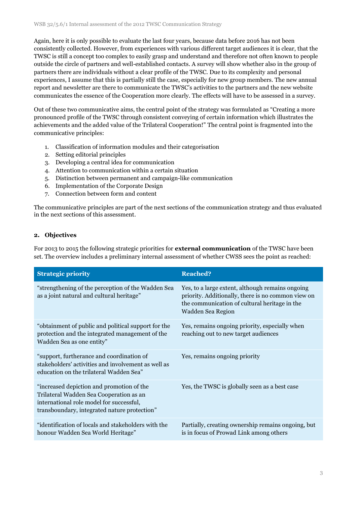Again, here it is only possible to evaluate the last four years, because data before 2016 has not been consistently collected. However, from experiences with various different target audiences it is clear, that the TWSC is still a concept too complex to easily grasp and understand and therefore not often known to people outside the circle of partners and well-established contacts. A survey will show whether also in the group of partners there are individuals without a clear profile of the TWSC. Due to its complexity and personal experiences, I assume that this is partially still the case, especially for new group members. The new annual report and newsletter are there to communicate the TWSC's activities to the partners and the new website communicates the essence of the Cooperation more clearly. The effects will have to be assessed in a survey.

Out of these two communicative aims, the central point of the strategy was formulated as "Creating a more pronounced profile of the TWSC through consistent conveying of certain information which illustrates the achievements and the added value of the Trilateral Cooperation!" The central point is fragmented into the communicative principles:

- 1. Classification of information modules and their categorisation
- 2. Setting editorial principles
- 3. Developing a central idea for communication
- 4. Attention to communication within a certain situation
- 5. Distinction between permanent and campaign-like communication
- 6. Implementation of the Corporate Design
- 7. Connection between form and content

The communicative principles are part of the next sections of the communication strategy and thus evaluated in the next sections of this assessment.

### **2. Objectives**

For 2013 to 2015 the following strategic priorities for **external communication** of the TWSC have been set. The overview includes a preliminary internal assessment of whether CWSS sees the point as reached:

| <b>Strategic priority</b>                                                                                                                                                        | <b>Reached?</b>                                                                                                                                                              |
|----------------------------------------------------------------------------------------------------------------------------------------------------------------------------------|------------------------------------------------------------------------------------------------------------------------------------------------------------------------------|
| "strengthening of the perception of the Wadden Sea<br>as a joint natural and cultural heritage"                                                                                  | Yes, to a large extent, although remains ongoing<br>priority. Additionally, there is no common view on<br>the communication of cultural heritage in the<br>Wadden Sea Region |
| "obtainment of public and political support for the<br>protection and the integrated management of the<br>Wadden Sea as one entity"                                              | Yes, remains ongoing priority, especially when<br>reaching out to new target audiences                                                                                       |
| "support, furtherance and coordination of<br>stakeholders' activities and involvement as well as<br>education on the trilateral Wadden Sea"                                      | Yes, remains ongoing priority                                                                                                                                                |
| "increased depiction and promotion of the<br>Trilateral Wadden Sea Cooperation as an<br>international role model for successful,<br>transboundary, integrated nature protection" | Yes, the TWSC is globally seen as a best case                                                                                                                                |
| "identification of locals and stakeholders with the<br>honour Wadden Sea World Heritage"                                                                                         | Partially, creating ownership remains ongoing, but<br>is in focus of Prowad Link among others                                                                                |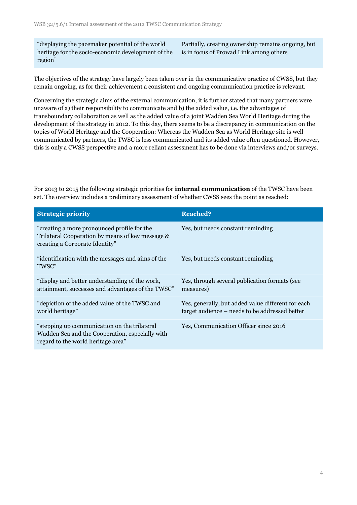"displaying the pacemaker potential of the world heritage for the socio-economic development of the region"

Partially, creating ownership remains ongoing, but is in focus of Prowad Link among others

The objectives of the strategy have largely been taken over in the communicative practice of CWSS, but they remain ongoing, as for their achievement a consistent and ongoing communication practice is relevant.

Concerning the strategic aims of the external communication, it is further stated that many partners were unaware of a) their responsibility to communicate and b) the added value, i.e. the advantages of transboundary collaboration as well as the added value of a joint Wadden Sea World Heritage during the development of the strategy in 2012. To this day, there seems to be a discrepancy in communication on the topics of World Heritage and the Cooperation: Whereas the Wadden Sea as World Heritage site is well communicated by partners, the TWSC is less communicated and its added value often questioned. However, this is only a CWSS perspective and a more reliant assessment has to be done via interviews and/or surveys.

For 2013 to 2015 the following strategic priorities for **internal communication** of the TWSC have been set. The overview includes a preliminary assessment of whether CWSS sees the point as reached:

| <b>Strategic priority</b>                                                                                                             | <b>Reached?</b>                                                                                      |
|---------------------------------------------------------------------------------------------------------------------------------------|------------------------------------------------------------------------------------------------------|
| "creating a more pronounced profile for the<br>Trilateral Cooperation by means of key message &<br>creating a Corporate Identity"     | Yes, but needs constant reminding                                                                    |
| "identification with the messages and aims of the<br>TWSC"                                                                            | Yes, but needs constant reminding                                                                    |
| "display and better understanding of the work,<br>attainment, successes and advantages of the TWSC"                                   | Yes, through several publication formats (see<br>measures)                                           |
| "depiction of the added value of the TWSC and<br>world heritage"                                                                      | Yes, generally, but added value different for each<br>target audience – needs to be addressed better |
| "stepping up communication on the trilateral<br>Wadden Sea and the Cooperation, especially with<br>regard to the world heritage area" | Yes, Communication Officer since 2016                                                                |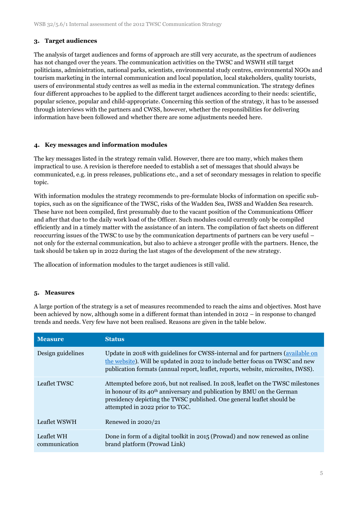### **3. Target audiences**

The analysis of target audiences and forms of approach are still very accurate, as the spectrum of audiences has not changed over the years. The communication activities on the TWSC and WSWH still target politicians, administration, national parks, scientists, environmental study centres, environmental NGOs and tourism marketing in the internal communication and local population, local stakeholders, quality tourists, users of environmental study centres as well as media in the external communication. The strategy defines four different approaches to be applied to the different target audiences according to their needs: scientific, popular science, popular and child-appropriate. Concerning this section of the strategy, it has to be assessed through interviews with the partners and CWSS, however, whether the responsibilities for delivering information have been followed and whether there are some adjustments needed here.

### **4. Key messages and information modules**

The key messages listed in the strategy remain valid. However, there are too many, which makes them impractical to use. A revision is therefore needed to establish a set of messages that should always be communicated, e.g. in press releases, publications etc., and a set of secondary messages in relation to specific topic.

With information modules the strategy recommends to pre-formulate blocks of information on specific subtopics, such as on the significance of the TWSC, risks of the Wadden Sea, IWSS and Wadden Sea research. These have not been compiled, first presumably due to the vacant position of the Communications Officer and after that due to the daily work load of the Officer. Such modules could currently only be compiled efficiently and in a timely matter with the assistance of an intern. The compilation of fact sheets on different reoccurring issues of the TWSC to use by the communication departments of partners can be very useful – not only for the external communication, but also to achieve a stronger profile with the partners. Hence, the task should be taken up in 2022 during the last stages of the development of the new strategy.

The allocation of information modules to the target audiences is still valid.

### **5. Measures**

A large portion of the strategy is a set of measures recommended to reach the aims and objectives. Most have been achieved by now, although some in a different format than intended in 2012 – in response to changed trends and needs. Very few have not been realised. Reasons are given in the table below.

| <b>Measure</b>              | <b>Status</b>                                                                                                                                                                                                                                                                       |
|-----------------------------|-------------------------------------------------------------------------------------------------------------------------------------------------------------------------------------------------------------------------------------------------------------------------------------|
| Design guidelines           | Update in 2018 with guidelines for CWSS-internal and for partners (available on<br>the website). Will be updated in 2022 to include better focus on TWSC and new<br>publication formats (annual report, leaflet, reports, website, microsites, IWSS).                               |
| Leaflet TWSC                | Attempted before 2016, but not realised. In 2018, leaflet on the TWSC milestones<br>in honour of its 40 <sup>th</sup> anniversary and publication by BMU on the German<br>presidency depicting the TWSC published. One general leaflet should be<br>attempted in 2022 prior to TGC. |
| Leaflet WSWH                | Renewed in $2020/21$                                                                                                                                                                                                                                                                |
| Leaflet WH<br>communication | Done in form of a digital toolkit in 2015 (Prowad) and now renewed as online<br>brand platform (Prowad Link)                                                                                                                                                                        |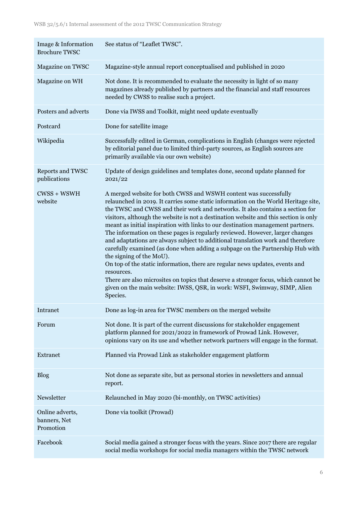| Image & Information<br><b>Brochure TWSC</b>  | See status of "Leaflet TWSC".                                                                                                                                                                                                                                                                                                                                                                                                                                                                                                                                                                                                                                                                                                                                                                                                                                                                                                                                                    |
|----------------------------------------------|----------------------------------------------------------------------------------------------------------------------------------------------------------------------------------------------------------------------------------------------------------------------------------------------------------------------------------------------------------------------------------------------------------------------------------------------------------------------------------------------------------------------------------------------------------------------------------------------------------------------------------------------------------------------------------------------------------------------------------------------------------------------------------------------------------------------------------------------------------------------------------------------------------------------------------------------------------------------------------|
| Magazine on TWSC                             | Magazine-style annual report conceptualised and published in 2020                                                                                                                                                                                                                                                                                                                                                                                                                                                                                                                                                                                                                                                                                                                                                                                                                                                                                                                |
| Magazine on WH                               | Not done. It is recommended to evaluate the necessity in light of so many<br>magazines already published by partners and the financial and staff resources<br>needed by CWSS to realise such a project.                                                                                                                                                                                                                                                                                                                                                                                                                                                                                                                                                                                                                                                                                                                                                                          |
| Posters and adverts                          | Done via IWSS and Toolkit, might need update eventually                                                                                                                                                                                                                                                                                                                                                                                                                                                                                                                                                                                                                                                                                                                                                                                                                                                                                                                          |
| Postcard                                     | Done for satellite image                                                                                                                                                                                                                                                                                                                                                                                                                                                                                                                                                                                                                                                                                                                                                                                                                                                                                                                                                         |
| Wikipedia                                    | Successfully edited in German, complications in English (changes were rejected<br>by editorial panel due to limited third-party sources, as English sources are<br>primarily available via our own website)                                                                                                                                                                                                                                                                                                                                                                                                                                                                                                                                                                                                                                                                                                                                                                      |
| Reports and TWSC<br>publications             | Update of design guidelines and templates done, second update planned for<br>2021/22                                                                                                                                                                                                                                                                                                                                                                                                                                                                                                                                                                                                                                                                                                                                                                                                                                                                                             |
| $CWSS + WSWH$<br>website                     | A merged website for both CWSS and WSWH content was successfully<br>relaunched in 2019. It carries some static information on the World Heritage site,<br>the TWSC and CWSS and their work and networks. It also contains a section for<br>visitors, although the website is not a destination website and this section is only<br>meant as initial inspiration with links to our destination management partners.<br>The information on these pages is regularly reviewed. However, larger changes<br>and adaptations are always subject to additional translation work and therefore<br>carefully examined (as done when adding a subpage on the Partnership Hub with<br>the signing of the MoU).<br>On top of the static information, there are regular news updates, events and<br>resources.<br>There are also microsites on topics that deserve a stronger focus, which cannot be<br>given on the main website: IWSS, QSR, in work: WSFI, Swimway, SIMP, Alien<br>Species. |
| Intranet                                     | Done as log-in area for TWSC members on the merged website                                                                                                                                                                                                                                                                                                                                                                                                                                                                                                                                                                                                                                                                                                                                                                                                                                                                                                                       |
| Forum                                        | Not done. It is part of the current discussions for stakeholder engagement<br>platform planned for 2021/2022 in framework of Prowad Link. However,<br>opinions vary on its use and whether network partners will engage in the format.                                                                                                                                                                                                                                                                                                                                                                                                                                                                                                                                                                                                                                                                                                                                           |
| Extranet                                     | Planned via Prowad Link as stakeholder engagement platform                                                                                                                                                                                                                                                                                                                                                                                                                                                                                                                                                                                                                                                                                                                                                                                                                                                                                                                       |
| <b>Blog</b>                                  | Not done as separate site, but as personal stories in newsletters and annual<br>report.                                                                                                                                                                                                                                                                                                                                                                                                                                                                                                                                                                                                                                                                                                                                                                                                                                                                                          |
| Newsletter                                   | Relaunched in May 2020 (bi-monthly, on TWSC activities)                                                                                                                                                                                                                                                                                                                                                                                                                                                                                                                                                                                                                                                                                                                                                                                                                                                                                                                          |
| Online adverts,<br>banners, Net<br>Promotion | Done via toolkit (Prowad)                                                                                                                                                                                                                                                                                                                                                                                                                                                                                                                                                                                                                                                                                                                                                                                                                                                                                                                                                        |
| Facebook                                     | Social media gained a stronger focus with the years. Since 2017 there are regular<br>social media workshops for social media managers within the TWSC network                                                                                                                                                                                                                                                                                                                                                                                                                                                                                                                                                                                                                                                                                                                                                                                                                    |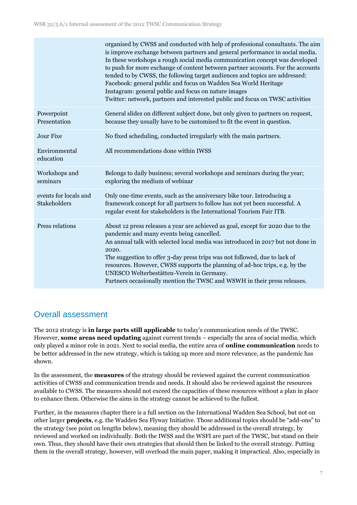|                                       | organised by CWSS and conducted with help of professional consultants. The aim<br>is improve exchange between partners and general performance in social media.<br>In these workshops a rough social media communication concept was developed<br>to push for more exchange of content between partner accounts. For the accounts<br>tended to by CWSS, the following target audiences and topics are addressed:<br>Facebook: general public and focus on Wadden Sea World Heritage<br>Instagram: general public and focus on nature images<br>Twitter: network, partners and interested public and focus on TWSC activities |
|---------------------------------------|------------------------------------------------------------------------------------------------------------------------------------------------------------------------------------------------------------------------------------------------------------------------------------------------------------------------------------------------------------------------------------------------------------------------------------------------------------------------------------------------------------------------------------------------------------------------------------------------------------------------------|
| Powerpoint<br>Presentation            | General slides on different subject done, but only given to partners on request,<br>because they usually have to be customised to fit the event in question.                                                                                                                                                                                                                                                                                                                                                                                                                                                                 |
| <b>Jour Fixe</b>                      | No fixed scheduling, conducted irregularly with the main partners.                                                                                                                                                                                                                                                                                                                                                                                                                                                                                                                                                           |
| Environmental<br>education            | All recommendations done within IWSS                                                                                                                                                                                                                                                                                                                                                                                                                                                                                                                                                                                         |
| Workshops and<br>seminars             | Belongs to daily business; several workshops and seminars during the year;<br>exploring the medium of webinar                                                                                                                                                                                                                                                                                                                                                                                                                                                                                                                |
| events for locals and<br>Stakeholders | Only one-time events, such as the anniversary bike tour. Introducing a<br>framework concept for all partners to follow has not yet been successful. A<br>regular event for stakeholders is the International Tourism Fair ITB.                                                                                                                                                                                                                                                                                                                                                                                               |
| Press relations                       | About 12 press releases a year are achieved as goal, except for 2020 due to the<br>pandemic and many events being cancelled.<br>An annual talk with selected local media was introduced in 2017 but not done in<br>2020.<br>The suggestion to offer 3-day press trips was not followed, due to lack of<br>resources. However, CWSS supports the planning of ad-hoc trips, e.g. by the<br>UNESCO Welterbestätten-Verein in Germany.<br>Partners occasionally mention the TWSC and WSWH in their press releases.                                                                                                               |

# Overall assessment

The 2012 strategy is **in large parts still applicable** to today's communication needs of the TWSC. However, **some areas need updating** against current trends – especially the area of social media, which only played a minor role in 2021. Next to social media, the entire area of **online communication** needs to be better addressed in the new strategy, which is taking up more and more relevance, as the pandemic has shown.

In the assessment, the **measures** of the strategy should be reviewed against the current communication activities of CWSS and communication trends and needs. It should also be reviewed against the resources available to CWSS. The measures should not exceed the capacities of these resources without a plan in place to enhance them. Otherwise the aims in the strategy cannot be achieved to the fullest.

Further, in the measures chapter there is a full section on the International Wadden Sea School, but not on other larger **projects**, e.g. the Wadden Sea Flyway Initiative. Those additional topics should be "add-ons" to the strategy (see point on lengths below), meaning they should be addressed in the overall strategy, by reviewed and worked on individually. Both the IWSS and the WSFI are part of the TWSC, but stand on their own. Thus, they should have their own strategies that should then be linked to the overall strategy. Putting them in the overall strategy, however, will overload the main paper, making it impractical. Also, especially in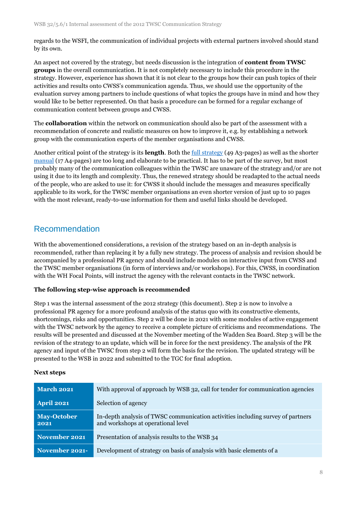regards to the WSFI, the communication of individual projects with external partners involved should stand by its own.

An aspect not covered by the strategy, but needs discussion is the integration of **content from TWSC groups** in the overall communication. It is not completely necessary to include this procedure in the strategy. However, experience has shown that it is not clear to the groups how their can push topics of their activities and results onto CWSS's communication agenda. Thus, we should use the opportunity of the evaluation survey among partners to include questions of what topics the groups have in mind and how they would like to be better represented. On that basis a procedure can be formed for a regular exchange of communication content between groups and CWSS.

The **collaboration** within the network on communication should also be part of the assessment with a recommendation of concrete and realistic measures on how to improve it, e.g. by establishing a network group with the communication experts of the member organisations and CWSS.

Another critical point of the strategy is its **length**. Both th[e full strategy](https://www.waddensea-worldheritage.org/resources/communication-strategy-trilateral-wadden-sea-cooperation) (49 A3-pages) as well as the shorter [manual](https://www.waddensea-worldheritage.org/resources/communication-guidelines-trilateral-wadden-sea-cooperation) (17 A4-pages) are too long and elaborate to be practical. It has to be part of the survey, but most probably many of the communication colleagues within the TWSC are unaware of the strategy and/or are not using it due to its length and complexity. Thus, the renewed strategy should be readapted to the actual needs of the people, who are asked to use it: for CWSS it should include the messages and measures specifically applicable to its work, for the TWSC member organisations an even shorter version of just up to 10 pages with the most relevant, ready-to-use information for them and useful links should be developed.

# Recommendation

With the abovementioned considerations, a revision of the strategy based on an in-depth analysis is recommended, rather than replacing it by a fully new strategy. The process of analysis and revision should be accompanied by a professional PR agency and should include modules on interactive input from CWSS and the TWSC member organisations (in form of interviews and/or workshops). For this, CWSS, in coordination with the WH Focal Points, will instruct the agency with the relevant contacts in the TWSC network.

### **The following step-wise approach is recommended**

Step 1 was the internal assessment of the 2012 strategy (this document). Step 2 is now to involve a professional PR agency for a more profound analysis of the status quo with its constructive elements, shortcomings, risks and opportunities. Step 2 will be done in 2021 with some modules of active engagement with the TWSC network by the agency to receive a complete picture of criticisms and recommendations. The results will be presented and discussed at the November meeting of the Wadden Sea Board. Step 3 will be the revision of the strategy to an update, which will be in force for the next presidency. The analysis of the PR agency and input of the TWSC from step 2 will form the basis for the revision. The updated strategy will be presented to the WSB in 2022 and submitted to the TGC for final adoption.

### **Next steps**

| <b>March 2021</b>          | With approval of approach by WSB 32, call for tender for communication agencies                                       |
|----------------------------|-----------------------------------------------------------------------------------------------------------------------|
| <b>April 2021</b>          | Selection of agency                                                                                                   |
| <b>May-October</b><br>2021 | In-depth analysis of TWSC communication activities including survey of partners<br>and workshops at operational level |
| November 2021              | Presentation of analysis results to the WSB 34                                                                        |
| November 2021-             | Development of strategy on basis of analysis with basic elements of a                                                 |